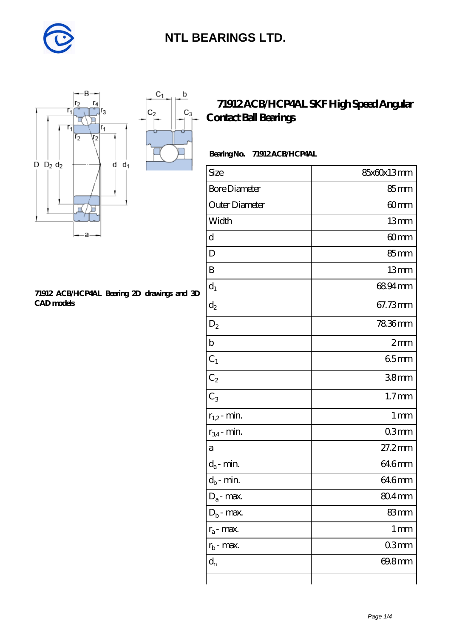

 $\mathsf b$ 

ó

 $C_3$ 



#### **[71912 ACB/HCP4AL Bearing 2D drawings and 3D](https://diabetesfriends.net/pic-590678.html) [CAD models](https://diabetesfriends.net/pic-590678.html)**

### **[71912 ACB/HCP4AL SKF High Speed Angular](https://diabetesfriends.net/skf-bearing/71912-acb-hcp4al.html) [Contact Ball Bearings](https://diabetesfriends.net/skf-bearing/71912-acb-hcp4al.html)**

#### **Bearing No. 71912 ACB/HCP4AL**

| Size                       | 85x60x13mm        |
|----------------------------|-------------------|
| <b>Bore Diameter</b>       | 85mm              |
| Outer Diameter             | 60mm              |
| Width                      | 13mm              |
| d                          | 60mm              |
| D                          | 85mm              |
| B                          | 13mm              |
| $d_1$                      | 6894mm            |
| $d_2$                      | 67.73mm           |
| $D_2$                      | 78.36mm           |
| $\mathbf b$                | 2mm               |
| $C_1$                      | 65mm              |
| $C_2$                      | 38 <sub>mm</sub>  |
| $C_3$                      | 1.7 <sub>mm</sub> |
| $r_{1,2}$ - min.           | 1 <sub>mm</sub>   |
| $r_{34}$ - min.            | 03mm              |
| a                          | 27.2mm            |
| $d_a$ - min.               | 646mm             |
| $d_b\operatorname{-} \min$ | 646mm             |
| $D_a$ - max.               | 804mm             |
| $Db$ - max.                | 83mm              |
| $r_a$ - max.               | $1 \,\mathrm{mm}$ |
| $r_{b}$ - max.             | 03mm              |
| $d_n$                      | 69.8mm            |
|                            |                   |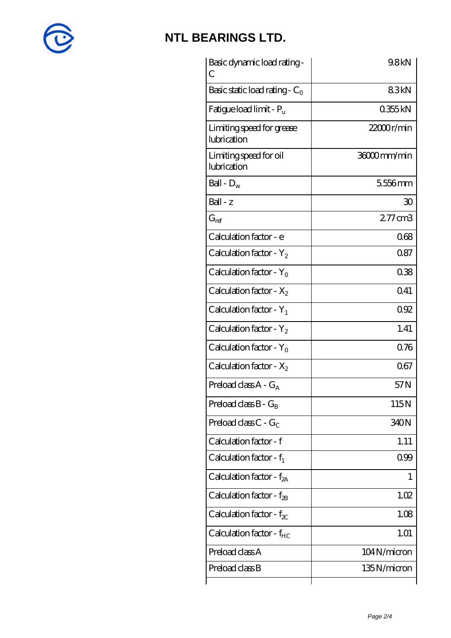

| Basic dynamic load rating -<br>С         | 9.8kN        |
|------------------------------------------|--------------|
| Basic static load rating - $C_0$         | 83kN         |
| Fatigue load limit - $P_u$               | 0355kN       |
| Limiting speed for grease<br>lubrication | 22000r/min   |
| Limiting speed for oil<br>lubrication    | 36000mm/min  |
| Ball - $D_w$                             | 5556mm       |
| Ball - z                                 | 30           |
| $G_{ref}$                                | $277$ cm $3$ |
| Calculation factor - e                   | 068          |
| Calculation factor - $Y_2$               | 0.87         |
| Calculation factor - $Y_0$               | 038          |
| Calculation factor - $X_2$               | 0.41         |
| Calculation factor - $Y_1$               | 092          |
| Calculation factor - $Y_2$               | 1.41         |
| Calculation factor - $Y_0$               | 0.76         |
| Calculation factor - $X_2$               | 067          |
| Preload class A - G <sub>A</sub>         | 57N          |
| Preload class $B - G_B$                  | 115N         |
| Preload class $C - G_C$                  | 340N         |
| Calculation factor - f                   | 1.11         |
| Calculation factor - $f_1$               | 099          |
| Calculation factor - $f_{2A}$            | 1            |
| Calculation factor - $f_{\rm 2B}$        | 1.02         |
| Calculation factor - $f_{\chi}$          | 1.08         |
| Calculation factor - $f_{HC}$            | 1.01         |
| Preload class A                          | 104N/micron  |
| Preload class B                          | 135N/micron  |
|                                          |              |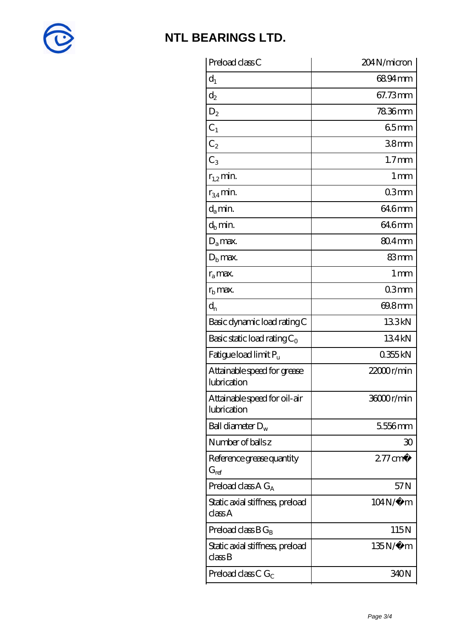

| Preload class C                                      | 204N/micron        |
|------------------------------------------------------|--------------------|
| $d_1$                                                | 6894mm             |
| $\mathrm{d}_2$                                       | 67.73mm            |
| $D_2$                                                | 7836mm             |
| $C_1$                                                | 65mm               |
| $C_2$                                                | 38 <sub>mm</sub>   |
| $C_3$                                                | 1.7 <sub>mm</sub>  |
| $r_{1,2}$ min.                                       | $1 \,\mathrm{mm}$  |
| $r_{34}$ min.                                        | 03mm               |
| $d_a$ min.                                           | 64.6mm             |
| $d_b$ min.                                           | 64.6mm             |
| $D_a$ max.                                           | $804 \text{mm}$    |
| $Db$ max.                                            | 83mm               |
| $r_a$ max.                                           | $1 \,\mathrm{mm}$  |
| $r_{\rm b}$ max.                                     | 03mm               |
| $d_{n}$                                              | 69.8mm             |
| Basic dynamic load rating C                          | 133kN              |
| Basic static load rating $C_0$                       | 134kN              |
| Fatigue load limit P <sub>u</sub>                    | 0355kN             |
| Attainable speed for grease<br>lubrication           | 22000r/min         |
| Attainable speed for oil-air<br>lubrication          | 36000r/min         |
| Ball diameter $D_w$                                  | 5556mm             |
| Number of balls z                                    | 30                 |
| Reference grease quantity<br>$G_{\mathrm{ref}}$      | $277 \text{ cm}^3$ |
| Preload class $A G_A$                                | 57 <sub>N</sub>    |
| Static axial stiffness, preload<br>class A           | $104N/\mu$ m       |
| Preload class $B G_B$                                | 115N               |
| Static axial stiffness, preload<br>$\mathrm{classB}$ | $135N/\mu$ m       |
| Preload class C $G_C$                                | 340N               |